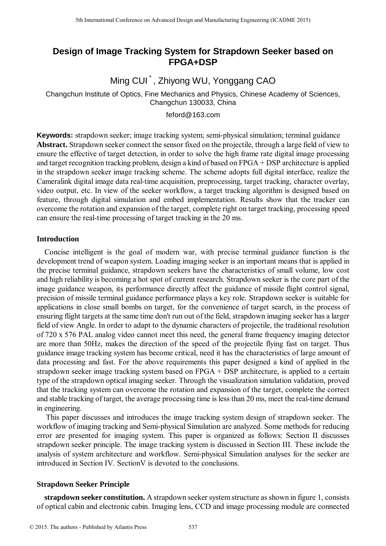# **Design of Image Tracking System for Strapdown Seeker based on FPGA+DSP**

Ming CUI<sup>\*</sup>, Zhiyong WU, Yonggang CAO

Changchun Institute of Optics, Fine Mechanics and Physics, Chinese Academy of Sciences, Changchun 130033, China

feford@163.com

**Keywords:** strapdown seeker; image tracking system; semi-physical simulation; terminal guidance **Abstract.** Strapdown seeker connect the sensor fixed on the projectile, through a large field of view to ensure the effective of target detection, in order to solve the high frame rate digital image processing and target recognition tracking problem, design a kind of based on FPGA + DSP architecture is applied in the strapdown seeker image tracking scheme. The scheme adopts full digital interface, realize the Cameralink digital image data real-time acquisition, preprocessing, target tracking, character overlay, video output, etc. In view of the seeker workflow, a target tracking algorithm is designed based on feature, through digital simulation and embed implementation. Results show that the tracker can overcome the rotation and expansion of the target, complete right on target tracking, processing speed can ensure the real-time processing of target tracking in the 20 ms.

### **Introduction**

Concise intelligent is the goal of modern war, with precise terminal guidance function is the development trend of weapon system. Loading imaging seeker is an important means that is applied in the precise terminal guidance, strapdown seekers have the characteristics of small volume, low cost and high reliability is becoming a hot spot of current research. Strapdown seeker is the core part of the image guidance weapon, its performance directly affect the guidance of missile flight control signal, precision of missile terminal guidance performance plays a key role. Strapdown seeker is suitable for applications in close small bombs on target, for the convenience of target search, in the process of ensuring flight targets at the same time don't run out of the field, strapdown imaging seeker has a larger field of view Angle. In order to adapt to the dynamic characters of projectile, the traditional resolution of 720 x 576 PAL analog video cannot meet this need, the general frame frequency imaging detector are more than 50Hz, makes the direction of the speed of the projectile flying fast on target. Thus guidance image tracking system has become critical, need it has the characteristics of large amount of data processing and fast. For the above requirements this paper designed a kind of applied in the strapdown seeker image tracking system based on FPGA + DSP architecture, is applied to a certain type of the strapdown optical imaging seeker. Through the visualization simulation validation, proved that the tracking system can overcome the rotation and expansion of the target, complete the correct and stable tracking of target, the average processing time is less than 20 ms, meet the real-time demand in engineering. <sup>516</sup> the terminant Conference on Advanced Design and Manufacturing Engineering (CADME 2015)<br> **EPOAT-DSP**<br> **EPOAT-DSP**<br> **EPOAT-DSP**<br> **EPOAT-DSP**<br> **Changedoun nexture of Octots, Fine Machamis and Physics, Chinese Academy of** 

This paper discusses and introduces the image tracking system design of strapdown seeker. The workflow of imaging tracking and Semi-physical Simulation are analyzed. Some methods for reducing error are presented for imaging system. This paper is organized as follows: Section II discusses strapdown seeker principle. The image tracking system is discussed in Section III. These include the analysis of system architecture and workflow. Semi-physical Simulation analyses for the seeker are introduced in Section IV. SectionV is devoted to the conclusions.

### **Strapdown Seeker Principle**

**strapdown seeker constitution.** A strapdown seeker system structure asshown in figure 1, consists of optical cabin and electronic cabin. Imaging lens, CCD and image processing module are connected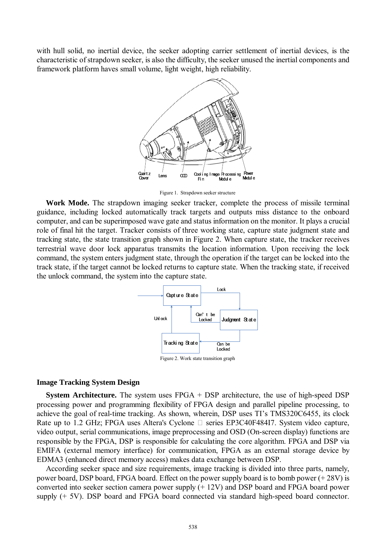with hull solid, no inertial device, the seeker adopting carrier settlement of inertial devices, is the characteristic of strapdown seeker, is also the difficulty, the seeker unused the inertial components and framework platform haves small volume, light weight, high reliability.



Figure 1. Strapdown seeker structure

**Work Mode.** The strapdown imaging seeker tracker, complete the process of missile terminal guidance, including locked automatically track targets and outputs miss distance to the onboard computer, and can be superimposed wave gate and status information on the monitor. It plays a crucial role of final hit the target. Tracker consists of three working state, capture state judgment state and tracking state, the state transition graph shown in Figure 2. When capture state, the tracker receives terrestrial wave door lock apparatus transmits the location information. Upon receiving the lock command, the system enters judgment state, through the operation if the target can be locked into the track state, if the target cannot be locked returns to capture state. When the tracking state, if received the unlock command, the system into the capture state.



#### **Image Tracking System Design**

**System Architecture.** The system uses FPGA + DSP architecture, the use of high-speed DSP processing power and programming flexibility of FPGA design and parallel pipeline processing, to achieve the goal of real-time tracking. As shown, wherein, DSP uses TI's TMS320C6455, its clock Rate up to 1.2 GHz; FPGA uses Altera's Cyclone □ series EP3C40F484I7. System video capture, video output, serial communications, image preprocessing and OSD (On-screen display) functions are responsible by the FPGA, DSP is responsible for calculating the core algorithm. FPGA and DSP via EMIFA (external memory interface) for communication, FPGA as an external storage device by EDMA3 (enhanced direct memory access) makes data exchange between DSP.

According seeker space and size requirements, image tracking is divided into three parts, namely, power board, DSP board, FPGA board. Effect on the power supply board is to bomb power (+ 28V) is converted into seeker section camera power supply (+ 12V) and DSP board and FPGA board power supply (+ 5V). DSP board and FPGA board connected via standard high-speed board connector.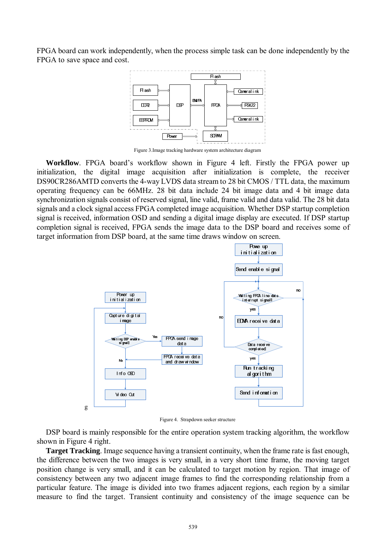FPGA board can work independently, when the process simple task can be done independently by the FPGA to save space and cost.



Figure 3.Image tracking hardware system architecture diagram

**Workflow**. FPGA board's workflow shown in Figure 4 left. Firstly the FPGA power up initialization, the digital image acquisition after initialization is complete, the receiver DS90CR286AMTD converts the 4-way LVDS data stream to 28 bit CMOS / TTL data, the maximum operating frequency can be 66MHz. 28 bit data include 24 bit image data and 4 bit image data synchronization signals consist of reserved signal, line valid, frame valid and data valid. The 28 bit data signals and a clock signal access FPGA completed image acquisition. Whether DSP startup completion signal is received, information OSD and sending a digital image display are executed. If DSP startup completion signal is received, FPGA sends the image data to the DSP board and receives some of target information from DSP board, at the same time draws window on screen.



Figure 4. Strapdown seeker structure

DSP board is mainly responsible for the entire operation system tracking algorithm, the workflow shown in Figure 4 right.

**Target Tracking**. Image sequence having a transient continuity, when the frame rate is fast enough, the difference between the two images is very small, in a very short time frame, the moving target position change is very small, and it can be calculated to target motion by region. That image of consistency between any two adjacent image frames to find the corresponding relationship from a particular feature. The image is divided into two frames adjacent regions, each region by a similar measure to find the target. Transient continuity and consistency of the image sequence can be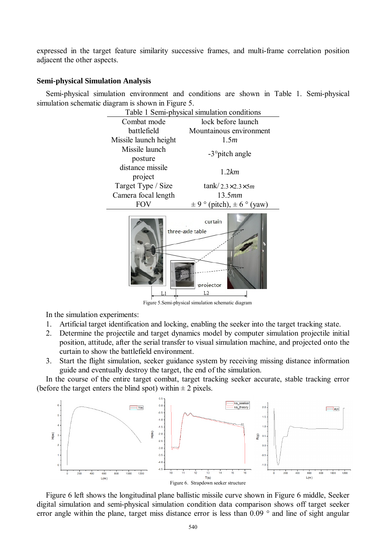expressed in the target feature similarity successive frames, and multi-frame correlation position adjacent the other aspects.

### **Semi-physical Simulation Analysis**

Semi-physical simulation environment and conditions are shown in Table 1. Semi-physical simulation schematic diagram is shown in Figure 5.



Figure 5.Semi-physical simulation schematic diagram

In the simulation experiments:

- 1. Artificial target identification and locking, enabling the seeker into the target tracking state.
- 2. Determine the projectile and target dynamics model by computer simulation projectile initial position, attitude, after the serial transfer to visual simulation machine, and projected onto the curtain to show the battlefield environment.
- 3. Start the flight simulation, seeker guidance system by receiving missing distance information guide and eventually destroy the target, the end of the simulation.

In the course of the entire target combat, target tracking seeker accurate, stable tracking error (before the target enters the blind spot) within  $\pm 2$  pixels.



Figure 6 left shows the longitudinal plane ballistic missile curve shown in Figure 6 middle, Seeker digital simulation and semi-physical simulation condition data comparison shows off target seeker error angle within the plane, target miss distance error is less than 0.09 ° and line of sight angular